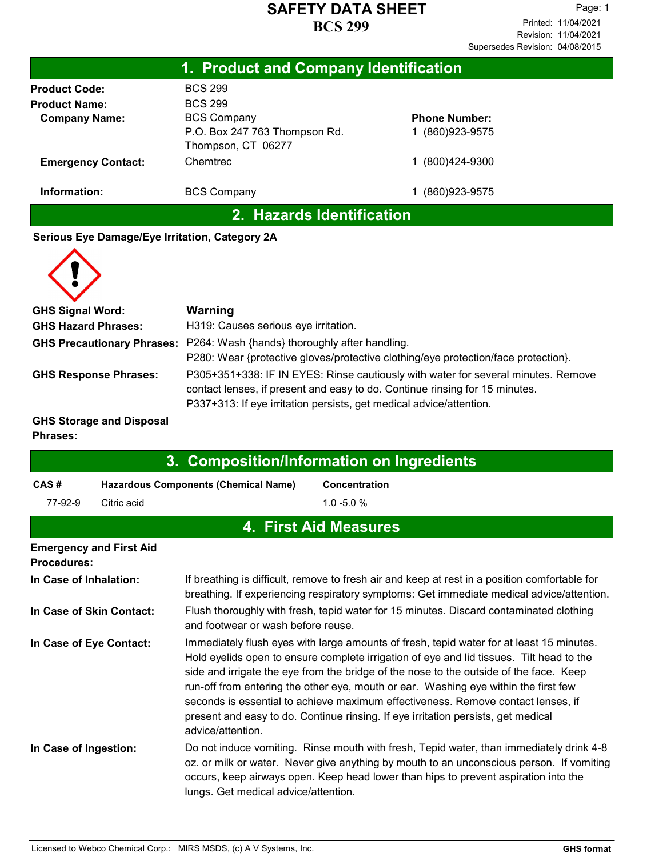| 1. Product and Company Identification |                                                     |                      |  |
|---------------------------------------|-----------------------------------------------------|----------------------|--|
| <b>Product Code:</b>                  | <b>BCS 299</b>                                      |                      |  |
| <b>Product Name:</b>                  | <b>BCS 299</b>                                      |                      |  |
| <b>Company Name:</b>                  | <b>BCS Company</b>                                  | <b>Phone Number:</b> |  |
|                                       | P.O. Box 247 763 Thompson Rd.<br>Thompson, CT 06277 | (860)923-9575        |  |
| <b>Emergency Contact:</b>             | Chemtrec                                            | (800)424-9300        |  |
| Information:                          | <b>BCS Company</b>                                  | (860) 923-9575       |  |
| 2. Hazards Identification             |                                                     |                      |  |

**Serious Eye Damage/Eye Irritation, Category 2A**



| <b>GHS Signal Word:</b>         | Warning                                                                                                                                                                                                                                 |
|---------------------------------|-----------------------------------------------------------------------------------------------------------------------------------------------------------------------------------------------------------------------------------------|
| <b>GHS Hazard Phrases:</b>      | H319: Causes serious eye irritation.                                                                                                                                                                                                    |
|                                 | GHS Precautionary Phrases: P264: Wash {hands} thoroughly after handling.<br>P280: Wear {protective gloves/protective clothing/eye protection/face protection}.                                                                          |
| <b>GHS Response Phrases:</b>    | P305+351+338: IF IN EYES: Rinse cautiously with water for several minutes. Remove<br>contact lenses, if present and easy to do. Continue rinsing for 15 minutes.<br>P337+313: If eye irritation persists, get medical advice/attention. |
| <b>GHS Storage and Disposal</b> |                                                                                                                                                                                                                                         |

**Phrases:**

| 3. Composition/Information on Ingredients            |             |                                                                                                                                                                                                                                                                                                                    |                                                                                                                                                                                                                                                                                                                                                                                                                                                                                                                                                |  |
|------------------------------------------------------|-------------|--------------------------------------------------------------------------------------------------------------------------------------------------------------------------------------------------------------------------------------------------------------------------------------------------------------------|------------------------------------------------------------------------------------------------------------------------------------------------------------------------------------------------------------------------------------------------------------------------------------------------------------------------------------------------------------------------------------------------------------------------------------------------------------------------------------------------------------------------------------------------|--|
| CAS#                                                 |             | <b>Hazardous Components (Chemical Name)</b>                                                                                                                                                                                                                                                                        | Concentration                                                                                                                                                                                                                                                                                                                                                                                                                                                                                                                                  |  |
| 77-92-9                                              | Citric acid |                                                                                                                                                                                                                                                                                                                    | $1.0 - 5.0 %$                                                                                                                                                                                                                                                                                                                                                                                                                                                                                                                                  |  |
|                                                      |             |                                                                                                                                                                                                                                                                                                                    | <b>4. First Aid Measures</b>                                                                                                                                                                                                                                                                                                                                                                                                                                                                                                                   |  |
| <b>Emergency and First Aid</b><br><b>Procedures:</b> |             |                                                                                                                                                                                                                                                                                                                    |                                                                                                                                                                                                                                                                                                                                                                                                                                                                                                                                                |  |
| In Case of Inhalation:                               |             | If breathing is difficult, remove to fresh air and keep at rest in a position comfortable for<br>breathing. If experiencing respiratory symptoms: Get immediate medical advice/attention.                                                                                                                          |                                                                                                                                                                                                                                                                                                                                                                                                                                                                                                                                                |  |
| In Case of Skin Contact:                             |             | Flush thoroughly with fresh, tepid water for 15 minutes. Discard contaminated clothing<br>and footwear or wash before reuse.                                                                                                                                                                                       |                                                                                                                                                                                                                                                                                                                                                                                                                                                                                                                                                |  |
| In Case of Eye Contact:                              |             | advice/attention.                                                                                                                                                                                                                                                                                                  | Immediately flush eyes with large amounts of fresh, tepid water for at least 15 minutes.<br>Hold eyelids open to ensure complete irrigation of eye and lid tissues. Tilt head to the<br>side and irrigate the eye from the bridge of the nose to the outside of the face. Keep<br>run-off from entering the other eye, mouth or ear. Washing eye within the first few<br>seconds is essential to achieve maximum effectiveness. Remove contact lenses, if<br>present and easy to do. Continue rinsing. If eye irritation persists, get medical |  |
| In Case of Ingestion:                                |             | Do not induce vomiting. Rinse mouth with fresh, Tepid water, than immediately drink 4-8<br>oz. or milk or water. Never give anything by mouth to an unconscious person. If vomiting<br>occurs, keep airways open. Keep head lower than hips to prevent aspiration into the<br>lungs. Get medical advice/attention. |                                                                                                                                                                                                                                                                                                                                                                                                                                                                                                                                                |  |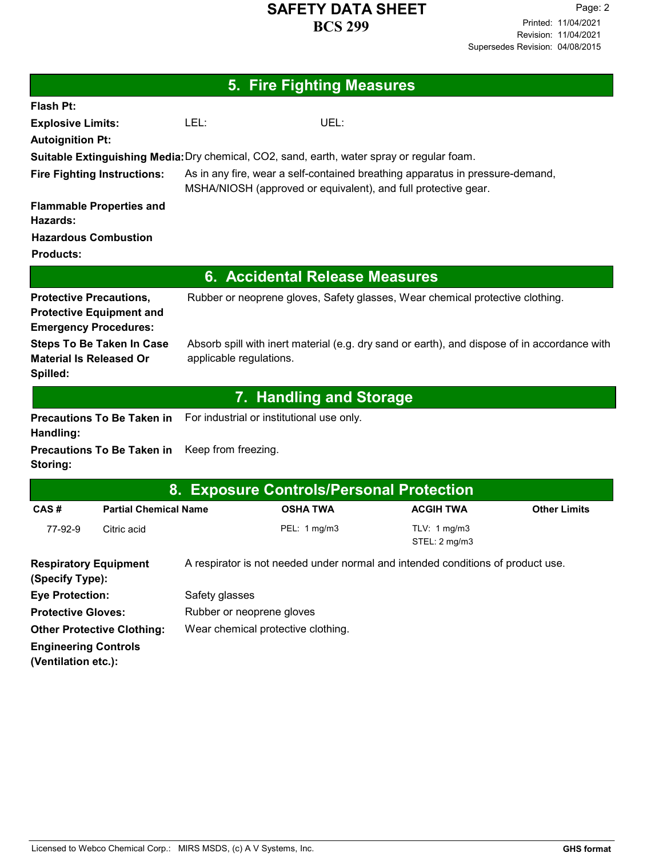| <b>5. Fire Fighting Measures</b>                                                                  |                                                                                                                                                 |                                                                                              |  |  |  |
|---------------------------------------------------------------------------------------------------|-------------------------------------------------------------------------------------------------------------------------------------------------|----------------------------------------------------------------------------------------------|--|--|--|
| Flash Pt:                                                                                         |                                                                                                                                                 |                                                                                              |  |  |  |
| <b>Explosive Limits:</b>                                                                          | LEL:                                                                                                                                            | UEL:                                                                                         |  |  |  |
| <b>Autoignition Pt:</b>                                                                           |                                                                                                                                                 |                                                                                              |  |  |  |
| Suitable Extinguishing Media: Dry chemical, CO2, sand, earth, water spray or regular foam.        |                                                                                                                                                 |                                                                                              |  |  |  |
| <b>Fire Fighting Instructions:</b>                                                                | As in any fire, wear a self-contained breathing apparatus in pressure-demand,<br>MSHA/NIOSH (approved or equivalent), and full protective gear. |                                                                                              |  |  |  |
| <b>Flammable Properties and</b><br>Hazards:                                                       |                                                                                                                                                 |                                                                                              |  |  |  |
| <b>Hazardous Combustion</b>                                                                       |                                                                                                                                                 |                                                                                              |  |  |  |
| <b>Products:</b>                                                                                  |                                                                                                                                                 |                                                                                              |  |  |  |
| 6. Accidental Release Measures                                                                    |                                                                                                                                                 |                                                                                              |  |  |  |
| <b>Protective Precautions,</b><br><b>Protective Equipment and</b><br><b>Emergency Procedures:</b> |                                                                                                                                                 | Rubber or neoprene gloves, Safety glasses, Wear chemical protective clothing.                |  |  |  |
| <b>Steps To Be Taken In Case</b><br><b>Material Is Released Or</b><br>Spilled:                    | applicable regulations.                                                                                                                         | Absorb spill with inert material (e.g. dry sand or earth), and dispose of in accordance with |  |  |  |
| 7. Handling and Storage                                                                           |                                                                                                                                                 |                                                                                              |  |  |  |
| <b>Precautions To Be Taken in</b><br>Handling:                                                    | For industrial or institutional use only.                                                                                                       |                                                                                              |  |  |  |

**Precautions To Be Taken in** Keep from freezing. **Storing:**

| 8. Exposure Controls/Personal Protection           |                              |                                    |                                                                                 |                               |                     |
|----------------------------------------------------|------------------------------|------------------------------------|---------------------------------------------------------------------------------|-------------------------------|---------------------|
| CAS#                                               | <b>Partial Chemical Name</b> |                                    | <b>OSHA TWA</b>                                                                 | <b>ACGIH TWA</b>              | <b>Other Limits</b> |
| 77-92-9                                            | Citric acid                  |                                    | PEL: 1 mg/m3                                                                    | TLV: 1 mg/m3<br>STEL: 2 mg/m3 |                     |
| <b>Respiratory Equipment</b><br>(Specify Type):    |                              |                                    | A respirator is not needed under normal and intended conditions of product use. |                               |                     |
| <b>Eye Protection:</b>                             |                              | Safety glasses                     |                                                                                 |                               |                     |
| <b>Protective Gloves:</b>                          |                              | Rubber or neoprene gloves          |                                                                                 |                               |                     |
| <b>Other Protective Clothing:</b>                  |                              | Wear chemical protective clothing. |                                                                                 |                               |                     |
| <b>Engineering Controls</b><br>(Ventilation etc.): |                              |                                    |                                                                                 |                               |                     |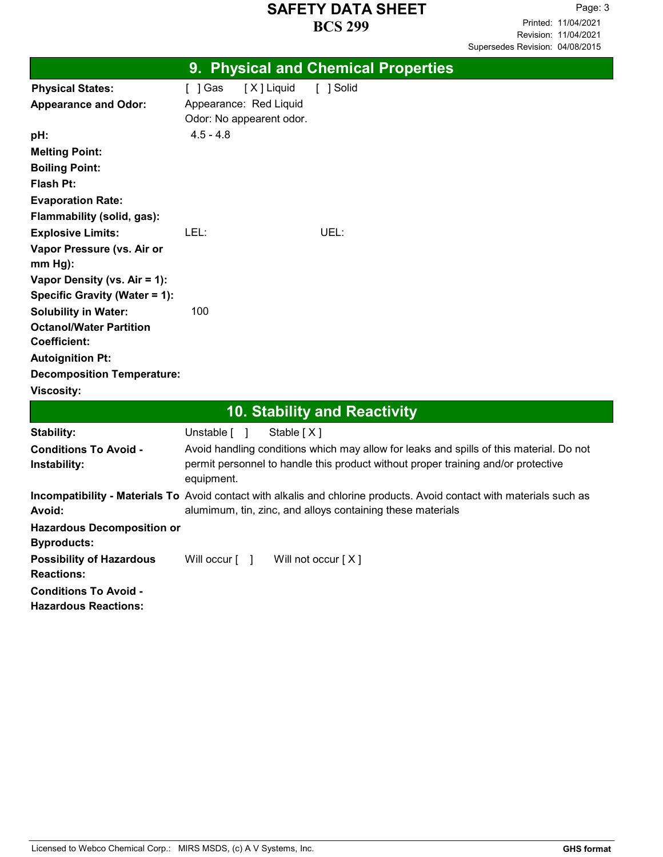|                                                             | 9. Physical and Chemical Properties                                                                                                                                                        |
|-------------------------------------------------------------|--------------------------------------------------------------------------------------------------------------------------------------------------------------------------------------------|
| <b>Physical States:</b><br><b>Appearance and Odor:</b>      | [X] Liquid<br>[ ] Solid<br>[ ] Gas<br>Appearance: Red Liquid<br>Odor: No appearent odor.                                                                                                   |
| pH:                                                         | $4.5 - 4.8$                                                                                                                                                                                |
| <b>Melting Point:</b>                                       |                                                                                                                                                                                            |
| <b>Boiling Point:</b>                                       |                                                                                                                                                                                            |
| <b>Flash Pt:</b>                                            |                                                                                                                                                                                            |
| <b>Evaporation Rate:</b>                                    |                                                                                                                                                                                            |
| Flammability (solid, gas):                                  |                                                                                                                                                                                            |
| <b>Explosive Limits:</b>                                    | UEL:<br>LEL:                                                                                                                                                                               |
| Vapor Pressure (vs. Air or<br>$mm Hg$ :                     |                                                                                                                                                                                            |
| Vapor Density (vs. Air = 1):                                |                                                                                                                                                                                            |
| Specific Gravity (Water = 1):                               |                                                                                                                                                                                            |
| <b>Solubility in Water:</b>                                 | 100                                                                                                                                                                                        |
| <b>Octanol/Water Partition</b><br><b>Coefficient:</b>       |                                                                                                                                                                                            |
| <b>Autoignition Pt:</b>                                     |                                                                                                                                                                                            |
| <b>Decomposition Temperature:</b>                           |                                                                                                                                                                                            |
| <b>Viscosity:</b>                                           |                                                                                                                                                                                            |
|                                                             |                                                                                                                                                                                            |
|                                                             | <b>10. Stability and Reactivity</b>                                                                                                                                                        |
| Stability:                                                  | Unstable [ ]<br>Stable [X]                                                                                                                                                                 |
| <b>Conditions To Avoid -</b><br>Instability:                | Avoid handling conditions which may allow for leaks and spills of this material. Do not<br>permit personnel to handle this product without proper training and/or protective<br>equipment. |
|                                                             | Incompatibility - Materials To Avoid contact with alkalis and chlorine products. Avoid contact with materials such as                                                                      |
| Avoid:                                                      | alumimum, tin, zinc, and alloys containing these materials                                                                                                                                 |
| <b>Hazardous Decomposition or</b><br><b>Byproducts:</b>     |                                                                                                                                                                                            |
| <b>Possibility of Hazardous</b><br><b>Reactions:</b>        | Will not occur [X]<br>Will occur [ ]                                                                                                                                                       |
| <b>Conditions To Avoid -</b><br><b>Hazardous Reactions:</b> |                                                                                                                                                                                            |